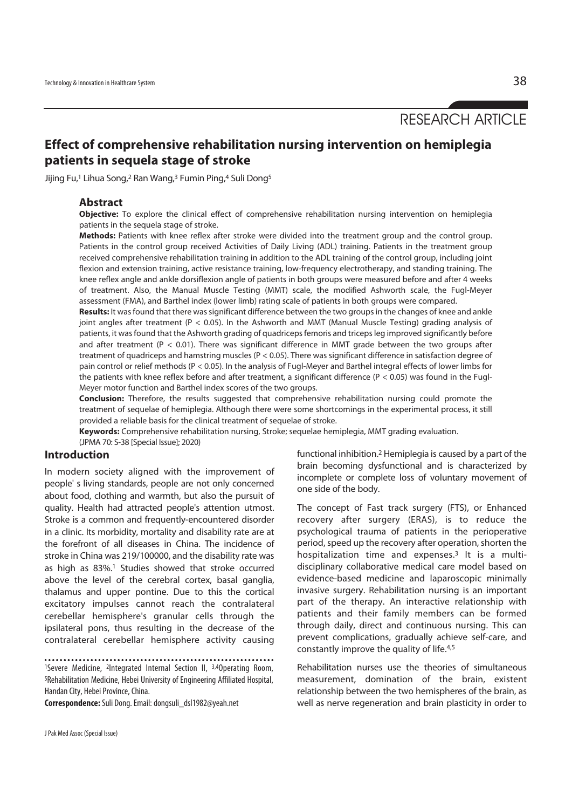RESEARCH ARTICLE

# **Effect of comprehensive rehabilitation nursing intervention on hemiplegia patients in sequela stage of stroke**

Jijing Fu,1 Lihua Song,2 Ran Wang,3 Fumin Ping,4 Suli Dong5

#### **Abstract**

**Objective:** To explore the clinical effect of comprehensive rehabilitation nursing intervention on hemiplegia patients in the sequela stage of stroke.

**Methods:** Patients with knee reflex after stroke were divided into the treatment group and the control group. Patients in the control group received Activities of Daily Living (ADL) training. Patients in the treatment group received comprehensive rehabilitation training in addition to the ADL training of the control group, including joint flexion and extension training, active resistance training, low-frequency electrotherapy, and standing training. The knee reflex angle and ankle dorsiflexion angle of patients in both groups were measured before and after 4 weeks of treatment. Also, the Manual Muscle Testing (MMT) scale, the modified Ashworth scale, the Fugl-Meyer assessment (FMA), and Barthel index (lower limb) rating scale of patients in both groups were compared.

**Results:** It was found that there was significant difference between the two groups in the changes of knee and ankle joint angles after treatment (P < 0.05). In the Ashworth and MMT (Manual Muscle Testing) grading analysis of patients, it was found that the Ashworth grading of quadriceps femoris and triceps leg improved significantly before and after treatment ( $P < 0.01$ ). There was significant difference in MMT grade between the two groups after treatment of quadriceps and hamstring muscles (P < 0.05). There was significant difference in satisfaction degree of pain control or relief methods (P < 0.05). In the analysis of Fugl-Meyer and Barthel integral effects of lower limbs for the patients with knee reflex before and after treatment, a significant difference ( $P < 0.05$ ) was found in the Fugl-Meyer motor function and Barthel index scores of the two groups.

**Conclusion:** Therefore, the results suggested that comprehensive rehabilitation nursing could promote the treatment of sequelae of hemiplegia. Although there were some shortcomings in the experimental process, it still provided a reliable basis for the clinical treatment of sequelae of stroke.

**Keywords:** Comprehensive rehabilitation nursing, Stroke; sequelae hemiplegia, MMT grading evaluation. (JPMA 70: S-38 [Special Issue]; 2020)

#### **Introduction**

In modern society aligned with the improvement of people' s living standards, people are not only concerned about food, clothing and warmth, but also the pursuit of quality. Health had attracted people's attention utmost. Stroke is a common and frequently-encountered disorder in a clinic. Its morbidity, mortality and disability rate are at the forefront of all diseases in China. The incidence of stroke in China was 219/100000, and the disability rate was as high as 83%.1 Studies showed that stroke occurred above the level of the cerebral cortex, basal ganglia, thalamus and upper pontine. Due to this the cortical excitatory impulses cannot reach the contralateral cerebellar hemisphere's granular cells through the ipsilateral pons, thus resulting in the decrease of the contralateral cerebellar hemisphere activity causing

1Severe Medicine, 2Integrated Internal Section II, 3,4Operating Room, 5Rehabilitation Medicine, Hebei University of Engineering Affiliated Hospital, Handan City, Hebei Province, China.

**Correspondence:** Suli Dong. Email: dongsuli\_dsl1982@yeah.net

J Pak Med Assoc (Special Issue)

functional inhibition.2 Hemiplegia is caused by a part of the brain becoming dysfunctional and is characterized by incomplete or complete loss of voluntary movement of one side of the body.

The concept of Fast track surgery (FTS), or Enhanced recovery after surgery (ERAS), is to reduce the psychological trauma of patients in the perioperative period, speed up the recovery after operation, shorten the hospitalization time and expenses.3 It is a multidisciplinary collaborative medical care model based on evidence-based medicine and laparoscopic minimally invasive surgery. Rehabilitation nursing is an important part of the therapy. An interactive relationship with patients and their family members can be formed through daily, direct and continuous nursing. This can prevent complications, gradually achieve self-care, and constantly improve the quality of life.4,5

Rehabilitation nurses use the theories of simultaneous measurement, domination of the brain, existent relationship between the two hemispheres of the brain, as well as nerve regeneration and brain plasticity in order to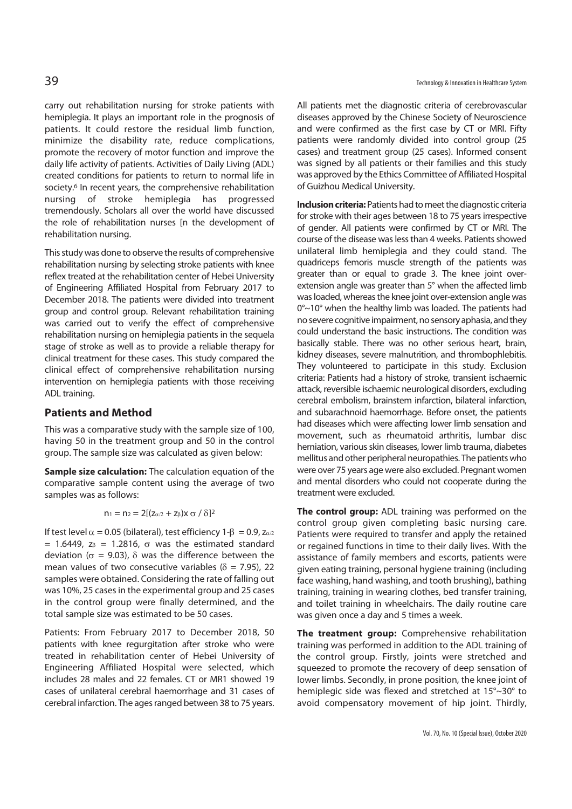carry out rehabilitation nursing for stroke patients with hemiplegia. It plays an important role in the prognosis of patients. It could restore the residual limb function, minimize the disability rate, reduce complications, promote the recovery of motor function and improve the daily life activity of patients. Activities of Daily Living (ADL) created conditions for patients to return to normal life in society.<sup>6</sup> In recent years, the comprehensive rehabilitation nursing of stroke hemiplegia has progressed tremendously. Scholars all over the world have discussed the role of rehabilitation nurses [n the development of rehabilitation nursing.

This study was done to observe the results of comprehensive rehabilitation nursing by selecting stroke patients with knee reflex treated at the rehabilitation center of Hebei University of Engineering Affiliated Hospital from February 2017 to December 2018. The patients were divided into treatment group and control group. Relevant rehabilitation training was carried out to verify the effect of comprehensive rehabilitation nursing on hemiplegia patients in the sequela stage of stroke as well as to provide a reliable therapy for clinical treatment for these cases. This study compared the clinical effect of comprehensive rehabilitation nursing intervention on hemiplegia patients with those receiving ADL training.

## **Patients and Method**

This was a comparative study with the sample size of 100, having 50 in the treatment group and 50 in the control group. The sample size was calculated as given below:

**Sample size calculation:** The calculation equation of the comparative sample content using the average of two samples was as follows:

$$
n_1 = n_2 = 2[(z_{\alpha/2} + z_{\beta})x \sigma / \delta]^2
$$

If test level  $\alpha$  = 0.05 (bilateral), test efficiency 1-β = 0.9, z $\alpha$ /2 = 1.6449,  $z_\beta$  = 1.2816,  $\sigma$  was the estimated standard deviation ( $\sigma$  = 9.03), δ was the difference between the mean values of two consecutive variables ( $\delta$  = 7.95), 22 samples were obtained. Considering the rate of falling out was 10%, 25 cases in the experimental group and 25 cases in the control group were finally determined, and the total sample size was estimated to be 50 cases.

Patients: From February 2017 to December 2018, 50 patients with knee regurgitation after stroke who were treated in rehabilitation center of Hebei University of Engineering Affiliated Hospital were selected, which includes 28 males and 22 females. CT or MR1 showed 19 cases of unilateral cerebral haemorrhage and 31 cases of cerebral infarction. The ages ranged between 38 to 75 years.

All patients met the diagnostic criteria of cerebrovascular diseases approved by the Chinese Society of Neuroscience and were confirmed as the first case by CT or MRI. Fifty patients were randomly divided into control group (25 cases) and treatment group (25 cases). Informed consent was signed by all patients or their families and this study was approved by the Ethics Committee of Affiliated Hospital of Guizhou Medical University.

**Inclusion criteria:** Patients had to meet the diagnostic criteria for stroke with their ages between 18 to 75 years irrespective of gender. All patients were confirmed by CT or MRI. The course of the disease was less than 4 weeks. Patients showed unilateral limb hemiplegia and they could stand. The quadriceps femoris muscle strength of the patients was greater than or equal to grade 3. The knee joint overextension angle was greater than 5° when the affected limb was loaded, whereas the knee joint over-extension angle was 0°~10° when the healthy limb was loaded. The patients had no severe cognitive impairment, no sensory aphasia, and they could understand the basic instructions. The condition was basically stable. There was no other serious heart, brain, kidney diseases, severe malnutrition, and thrombophlebitis. They volunteered to participate in this study. Exclusion criteria: Patients had a history of stroke, transient ischaemic attack, reversible ischaemic neurological disorders, excluding cerebral embolism, brainstem infarction, bilateral infarction, and subarachnoid haemorrhage. Before onset, the patients had diseases which were affecting lower limb sensation and movement, such as rheumatoid arthritis, lumbar disc herniation, various skin diseases, lower limb trauma, diabetes mellitus and other peripheral neuropathies. The patients who were over 75 years age were also excluded. Pregnant women and mental disorders who could not cooperate during the treatment were excluded.

**The control group:** ADL training was performed on the control group given completing basic nursing care. Patients were required to transfer and apply the retained or regained functions in time to their daily lives. With the assistance of family members and escorts, patients were given eating training, personal hygiene training (including face washing, hand washing, and tooth brushing), bathing training, training in wearing clothes, bed transfer training, and toilet training in wheelchairs. The daily routine care was given once a day and 5 times a week.

**The treatment group:** Comprehensive rehabilitation training was performed in addition to the ADL training of the control group. Firstly, joints were stretched and squeezed to promote the recovery of deep sensation of lower limbs. Secondly, in prone position, the knee joint of hemiplegic side was flexed and stretched at 15°~30° to avoid compensatory movement of hip joint. Thirdly,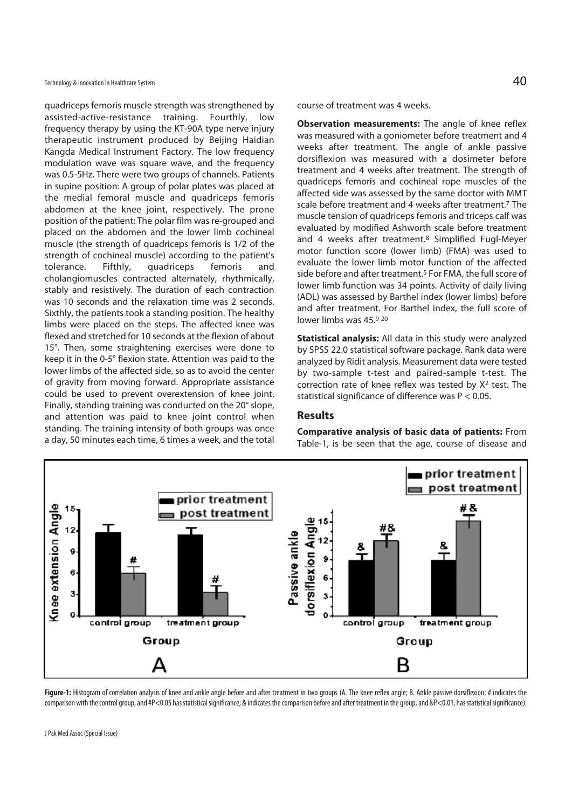Technology & Innovation in Healthcare System  $40$ 

quadriceps femoris muscle strength was strengthened by assisted-active-resistance training. Fourthly, low frequency therapy by using the KT-90A type nerve injury therapeutic instrument produced by Beijing Haidian Kangda Medical Instrument Factory. The low frequency modulation wave was square wave, and the frequency was 0.5-5Hz. There were two groups of channels. Patients in supine position: A group of polar plates was placed at the medial femoral muscle and quadriceps femoris abdomen at the knee joint, respectively. The prone position of the patient: The polar film was re-grouped and placed on the abdomen and the lower limb cochineal muscle (the strength of quadriceps femoris is 1/2 of the strength of cochineal muscle) according to the patient's tolerance. Fifthly, quadriceps femoris and cholangiomuscles contracted alternately, rhythmically, stably and resistively. The duration of each contraction was 10 seconds and the relaxation time was 2 seconds. Sixthly, the patients took a standing position. The healthy limbs were placed on the steps. The affected knee was flexed and stretched for 10 seconds at the flexion of about 15°. Then, some straightening exercises were done to keep it in the 0-5° flexion state. Attention was paid to the lower limbs of the affected side, so as to avoid the center of gravity from moving forward. Appropriate assistance could be used to prevent overextension of knee joint. Finally, standing training was conducted on the 20° slope, and attention was paid to knee joint control when standing. The training intensity of both groups was once a day, 50 minutes each time, 6 times a week, and the total

course of treatment was 4 weeks.

**Observation measurements:** The angle of knee reflex was measured with a goniometer before treatment and 4 weeks after treatment. The angle of ankle passive dorsiflexion was measured with a dosimeter before treatment and 4 weeks after treatment. The strength of quadriceps femoris and cochineal rope muscles of the affected side was assessed by the same doctor with MMT scale before treatment and 4 weeks after treatment.<sup>7</sup> The muscle tension of quadriceps femoris and triceps calf was evaluated by modified Ashworth scale before treatment and 4 weeks after treatment.8 Simplified Fugl-Meyer motor function score (lower limb) (FMA) was used to evaluate the lower limb motor function of the affected side before and after treatment.<sup>5</sup> For FMA, the full score of lower limb function was 34 points. Activity of daily living (ADL) was assessed by Barthel index (lower limbs) before and after treatment. For Barthel index, the full score of lower limbs was 45.9-20

**Statistical analysis:** All data in this study were analyzed by SPSS 22.0 statistical software package. Rank data were analyzed by Ridit analysis. Measurement data were tested by two-sample t-test and paired-sample t-test. The correction rate of knee reflex was tested by X2 test. The statistical significance of difference was P < 0.05.

# **Results**

**Comparative analysis of basic data of patients:** From Table-1, is be seen that the age, course of disease and



Figure-1: Histogram of correlation analysis of knee and ankle angle before and after treatment in two groups (A. The knee reflex angle; B. Ankle passive dorsiflexion; # indicates the comparison with the control group, and #P<0.05 has statistical significance; & indicates the comparison before and after treatment in the group, and &P<0.01, has statistical significance).

J Pak Med Assoc (Special Issue)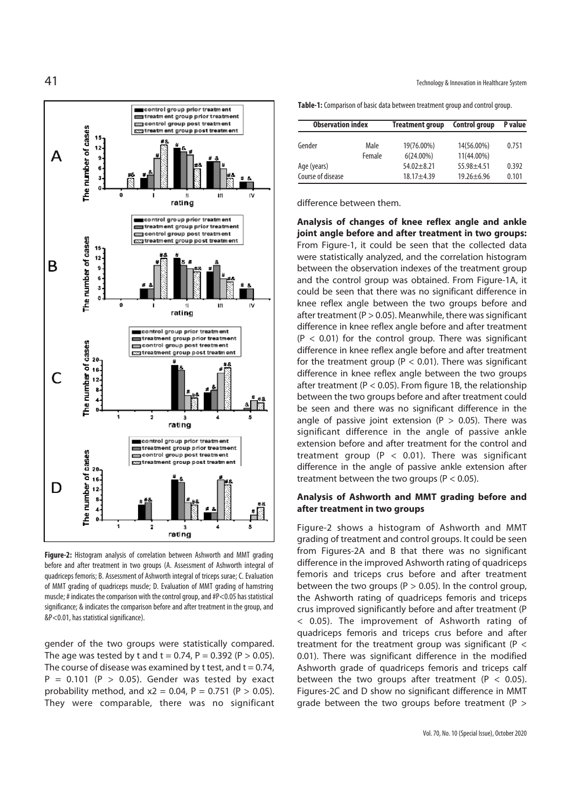

**Figure-2:** Histogram analysis of correlation between Ashworth and MMT grading before and after treatment in two groups (A. Assessment of Ashworth integral of quadriceps femoris; B. Assessment of Ashworth integral of triceps surae; C. Evaluation of MMT grading of quadriceps muscle; D. Evaluation of MMT grading of hamstring muscle; # indicates the comparison with the control group, and #P<0.05 has statistical significance; & indicates the comparison before and after treatment in the group, and &P<0.01, has statistical significance).

gender of the two groups were statistically compared. The age was tested by t and t = 0.74, P = 0.392 (P > 0.05). The course of disease was examined by t test, and  $t = 0.74$ ,  $P = 0.101$  (P > 0.05). Gender was tested by exact probability method, and  $x^2 = 0.04$ ,  $P = 0.751$  ( $P > 0.05$ ). They were comparable, there was no significant **Table-1:** Comparison of basic data between treatment group and control group.

| <b>Observation index</b> |        | <b>Treatment group</b> | <b>Control group</b> | P value |
|--------------------------|--------|------------------------|----------------------|---------|
| Gender                   | Male   | 19(76.00%)             | 14(56.00%)           | 0.751   |
|                          | Female | $6(24.00\%)$           | 11(44.00%)           |         |
| Age (years)              |        | $54.02 + 8.21$         | $55.98 + 4.51$       | 0.392   |
| Course of disease        |        | $18.17 + 4.39$         | $19.26 + 6.96$       | 0.101   |

difference between them.

**Analysis of changes of knee reflex angle and ankle joint angle before and after treatment in two groups:**  From Figure-1, it could be seen that the collected data were statistically analyzed, and the correlation histogram between the observation indexes of the treatment group and the control group was obtained. From Figure-1A, it could be seen that there was no significant difference in knee reflex angle between the two groups before and after treatment ( $P > 0.05$ ). Meanwhile, there was significant difference in knee reflex angle before and after treatment  $(P < 0.01)$  for the control group. There was significant difference in knee reflex angle before and after treatment for the treatment group ( $P < 0.01$ ). There was significant difference in knee reflex angle between the two groups after treatment ( $P < 0.05$ ). From figure 1B, the relationship between the two groups before and after treatment could be seen and there was no significant difference in the angle of passive joint extension ( $P > 0.05$ ). There was significant difference in the angle of passive ankle extension before and after treatment for the control and treatment group ( $P < 0.01$ ). There was significant difference in the angle of passive ankle extension after treatment between the two groups ( $P < 0.05$ ).

#### **Analysis of Ashworth and MMT grading before and after treatment in two groups**

Figure-2 shows a histogram of Ashworth and MMT grading of treatment and control groups. It could be seen from Figures-2A and B that there was no significant difference in the improved Ashworth rating of quadriceps femoris and triceps crus before and after treatment between the two groups ( $P > 0.05$ ). In the control group, the Ashworth rating of quadriceps femoris and triceps crus improved significantly before and after treatment (P < 0.05). The improvement of Ashworth rating of quadriceps femoris and triceps crus before and after treatment for the treatment group was significant ( $P <$ 0.01). There was significant difference in the modified Ashworth grade of quadriceps femoris and triceps calf between the two groups after treatment ( $P < 0.05$ ). Figures-2C and D show no significant difference in MMT grade between the two groups before treatment (P >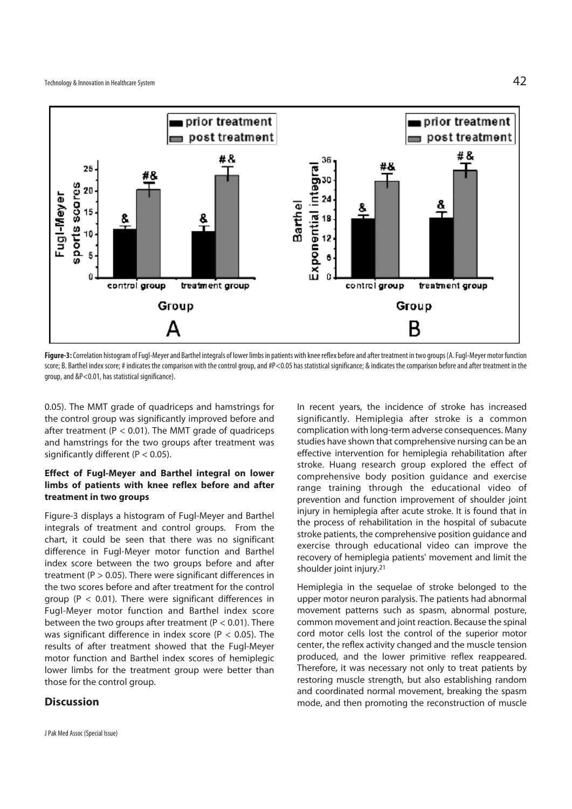

**Figure-3:** Correlation histogram of Fugl-Meyer and Barthel integrals of lower limbs in patients with knee reflex before and after treatment in two groups (A. Fugl-Meyer motor function score; B. Barthel index score; # indicates the comparison with the control group, and #P<0.05 has statistical significance; & indicates the comparison before and after treatment in the group, and &P<0.01, has statistical significance).

0.05). The MMT grade of quadriceps and hamstrings for the control group was significantly improved before and after treatment ( $P < 0.01$ ). The MMT grade of quadriceps and hamstrings for the two groups after treatment was significantly different ( $P < 0.05$ ).

# **Effect of Fugl-Meyer and Barthel integral on lower limbs of patients with knee reflex before and after treatment in two groups**

Figure-3 displays a histogram of Fugl-Meyer and Barthel integrals of treatment and control groups. From the chart, it could be seen that there was no significant difference in Fugl-Meyer motor function and Barthel index score between the two groups before and after treatment ( $P > 0.05$ ). There were significant differences in the two scores before and after treatment for the control group ( $P < 0.01$ ). There were significant differences in Fugl-Meyer motor function and Barthel index score between the two groups after treatment ( $P < 0.01$ ). There was significant difference in index score ( $P < 0.05$ ). The results of after treatment showed that the Fugl-Meyer motor function and Barthel index scores of hemiplegic lower limbs for the treatment group were better than those for the control group.

# **Discussion**

In recent years, the incidence of stroke has increased significantly. Hemiplegia after stroke is a common complication with long-term adverse consequences. Many studies have shown that comprehensive nursing can be an effective intervention for hemiplegia rehabilitation after stroke. Huang research group explored the effect of comprehensive body position guidance and exercise range training through the educational video of prevention and function improvement of shoulder joint injury in hemiplegia after acute stroke. It is found that in the process of rehabilitation in the hospital of subacute stroke patients, the comprehensive position guidance and exercise through educational video can improve the recovery of hemiplegia patients' movement and limit the shoulder joint injury.21

Hemiplegia in the sequelae of stroke belonged to the upper motor neuron paralysis. The patients had abnormal movement patterns such as spasm, abnormal posture, common movement and joint reaction. Because the spinal cord motor cells lost the control of the superior motor center, the reflex activity changed and the muscle tension produced, and the lower primitive reflex reappeared. Therefore, it was necessary not only to treat patients by restoring muscle strength, but also establishing random and coordinated normal movement, breaking the spasm mode, and then promoting the reconstruction of muscle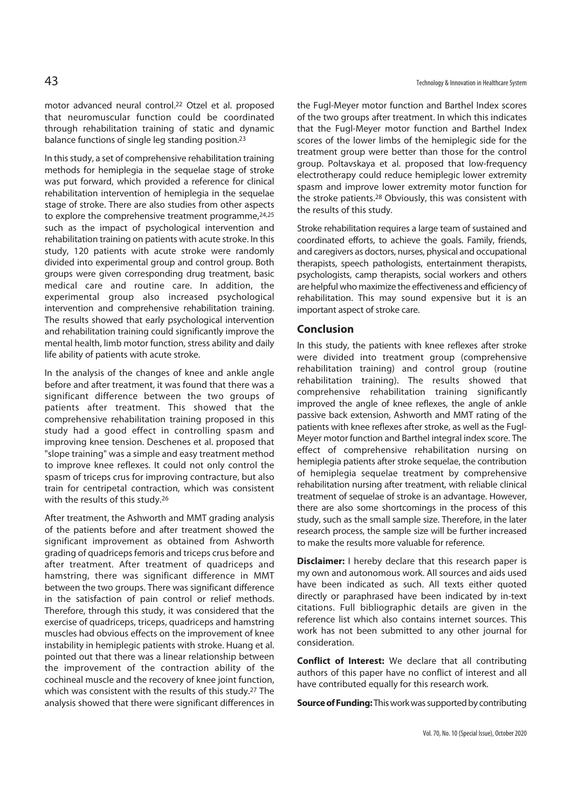motor advanced neural control.22 Otzel et al. proposed that neuromuscular function could be coordinated through rehabilitation training of static and dynamic balance functions of single leg standing position.23

In this study, a set of comprehensive rehabilitation training methods for hemiplegia in the sequelae stage of stroke was put forward, which provided a reference for clinical rehabilitation intervention of hemiplegia in the sequelae stage of stroke. There are also studies from other aspects to explore the comprehensive treatment programme, 24,25 such as the impact of psychological intervention and rehabilitation training on patients with acute stroke. In this study, 120 patients with acute stroke were randomly divided into experimental group and control group. Both groups were given corresponding drug treatment, basic medical care and routine care. In addition, the experimental group also increased psychological intervention and comprehensive rehabilitation training. The results showed that early psychological intervention and rehabilitation training could significantly improve the mental health, limb motor function, stress ability and daily life ability of patients with acute stroke.

In the analysis of the changes of knee and ankle angle before and after treatment, it was found that there was a significant difference between the two groups of patients after treatment. This showed that the comprehensive rehabilitation training proposed in this study had a good effect in controlling spasm and improving knee tension. Deschenes et al. proposed that "slope training" was a simple and easy treatment method to improve knee reflexes. It could not only control the spasm of triceps crus for improving contracture, but also train for centripetal contraction, which was consistent with the results of this study.26

After treatment, the Ashworth and MMT grading analysis of the patients before and after treatment showed the significant improvement as obtained from Ashworth grading of quadriceps femoris and triceps crus before and after treatment. After treatment of quadriceps and hamstring, there was significant difference in MMT between the two groups. There was significant difference in the satisfaction of pain control or relief methods. Therefore, through this study, it was considered that the exercise of quadriceps, triceps, quadriceps and hamstring muscles had obvious effects on the improvement of knee instability in hemiplegic patients with stroke. Huang et al. pointed out that there was a linear relationship between the improvement of the contraction ability of the cochineal muscle and the recovery of knee joint function, which was consistent with the results of this study.27 The analysis showed that there were significant differences in the Fugl-Meyer motor function and Barthel Index scores of the two groups after treatment. In which this indicates that the Fugl-Meyer motor function and Barthel Index scores of the lower limbs of the hemiplegic side for the treatment group were better than those for the control group. Poltavskaya et al. proposed that low-frequency electrotherapy could reduce hemiplegic lower extremity spasm and improve lower extremity motor function for the stroke patients.28 Obviously, this was consistent with the results of this study.

Stroke rehabilitation requires a large team of sustained and coordinated efforts, to achieve the goals. Family, friends, and caregivers as doctors, nurses, physical and occupational therapists, speech pathologists, entertainment therapists, psychologists, camp therapists, social workers and others are helpful who maximize the effectiveness and efficiency of rehabilitation. This may sound expensive but it is an important aspect of stroke care.

#### **Conclusion**

In this study, the patients with knee reflexes after stroke were divided into treatment group (comprehensive rehabilitation training) and control group (routine rehabilitation training). The results showed that comprehensive rehabilitation training significantly improved the angle of knee reflexes, the angle of ankle passive back extension, Ashworth and MMT rating of the patients with knee reflexes after stroke, as well as the Fugl-Meyer motor function and Barthel integral index score. The effect of comprehensive rehabilitation nursing on hemiplegia patients after stroke sequelae, the contribution of hemiplegia sequelae treatment by comprehensive rehabilitation nursing after treatment, with reliable clinical treatment of sequelae of stroke is an advantage. However, there are also some shortcomings in the process of this study, such as the small sample size. Therefore, in the later research process, the sample size will be further increased to make the results more valuable for reference.

**Disclaimer:** I hereby declare that this research paper is my own and autonomous work. All sources and aids used have been indicated as such. All texts either quoted directly or paraphrased have been indicated by in-text citations. Full bibliographic details are given in the reference list which also contains internet sources. This work has not been submitted to any other journal for consideration.

**Conflict of Interest:** We declare that all contributing authors of this paper have no conflict of interest and all have contributed equally for this research work.

**Source of Funding:** This work was supported by contributing